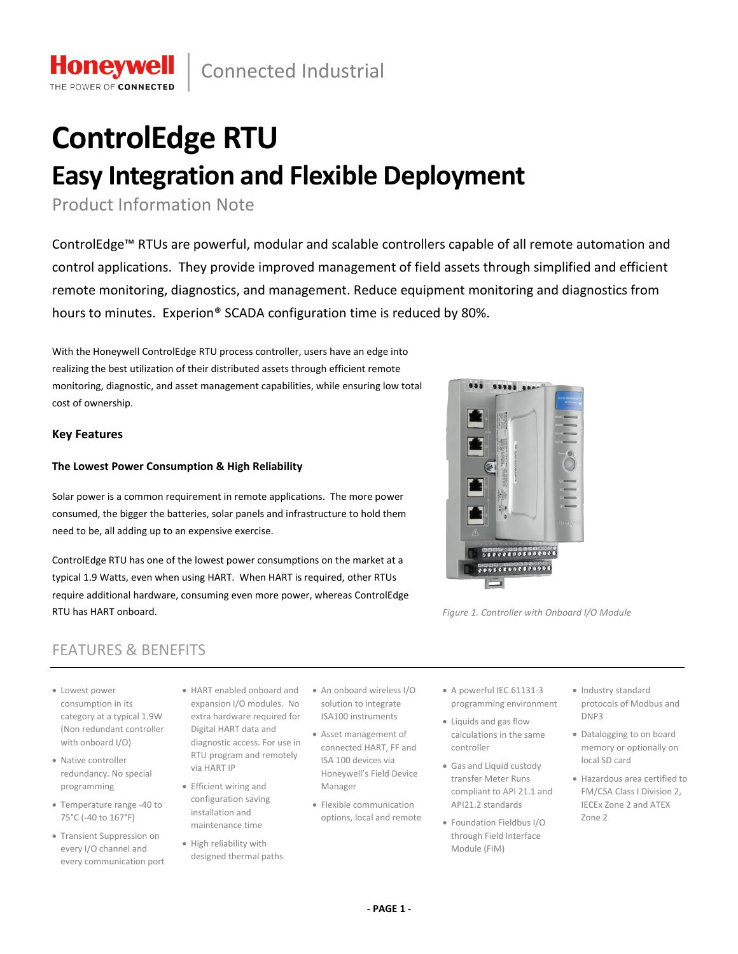# **ControlEdge RTU Easy Integration and Flexible Deployment**

Product Information Note

**Honevwel** POWER OF CONNE

 $\overline{\phantom{a}}$ 

ControlEdge™ RTUs are powerful, modular and scalable controllers capable of all remote automation and control applications. They provide improved management of field assets through simplified and efficient remote monitoring, diagnostics, and management. Reduce equipment monitoring and diagnostics from hours to minutes. Experion® SCADA configuration time is reduced by 80%.

With the Honeywell ControlEdge RTU process controller, users have an edge into realizing the best utilization of their distributed assets through efficient remote monitoring, diagnostic, and asset management capabilities, while ensuring low total cost of ownership.

# **Key Features**

# **The Lowest Power Consumption & High Reliability**

Solar power is a common requirement in remote applications. The more power consumed, the bigger the batteries, solar panels and infrastructure to hold them need to be, all adding up to an expensive exercise.

ControlEdge RTU has one of the lowest power consumptions on the market at a typical 1.9 Watts, even when using HART. When HART is required, other RTUs require additional hardware, consuming even more power, whereas ControlEdge RTU has HART onboard. *Figure 1. Controller with Onboard I/O Module*

> diagnostic access. For use in RTU program and remotely

via HART IP • Efficient wiring and configuration saving installation and maintenance time • High reliability with designed thermal paths



- Lowest power consumption in its category at a typical 1.9W (Non redundant controller with onboard I/O)
- Native controller redundancy. No special programming
- Temperature range -40 to 75°C (-40 to 167°F)
- Transient Suppression on every I/O channel and every communication port
- HART enabled onboard and An onboard wireless I/O expansion I/O modules. No extra hardware required for Digital HART data and solution to integrate ISA100 instruments
	- Asset management of connected HART, FF and ISA 100 devices via Honeywell's Field Device Manager
	- Flexible communication options, local and remote
- A powerful IEC 61131-3 programming environment
- Liquids and gas flow calculations in the same controller
- Gas and Liquid custody transfer Meter Runs compliant to API 21.1 and API21.2 standards
- Foundation Fieldbus I/O through Field Interface Module (FIM)
- Industry standard protocols of Modbus and DNP3
- Datalogging to on board memory or optionally on local SD card
- Hazardous area certified to FM/CSA Class I Division 2, IECEx Zone 2 and ATEX Zone 2

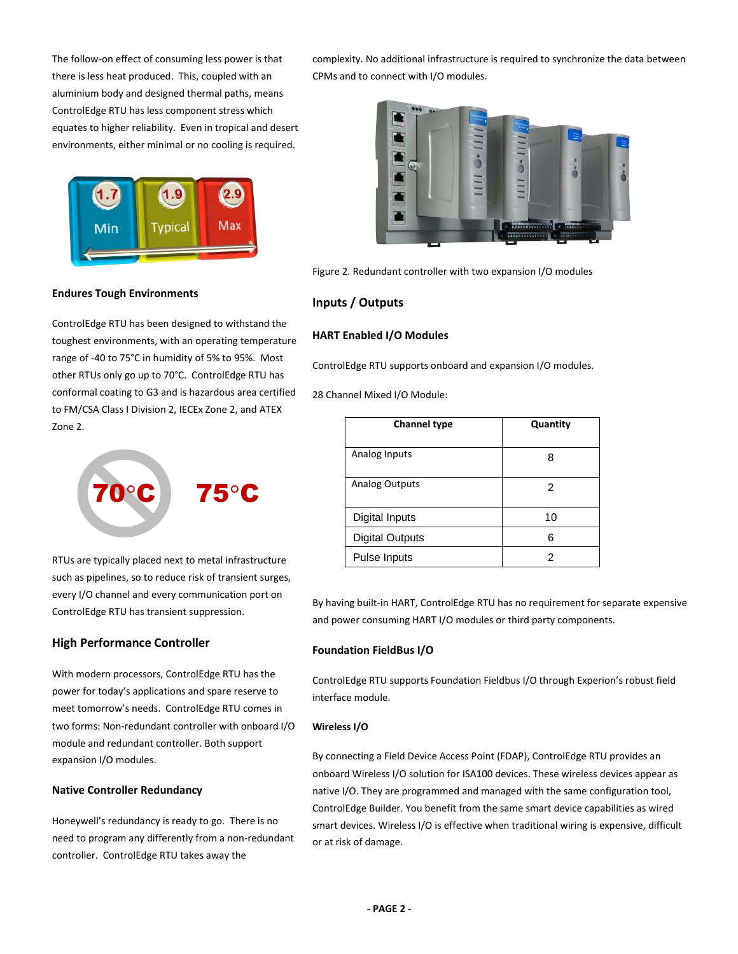The follow-on effect of consuming less power is that there is less heat produced. This, coupled with an aluminium body and designed thermal paths, means ControlEdge RTU has less component stress which equates to higher reliability. Even in tropical and desert environments, either minimal or no cooling is required.



**Endures Tough Environments**

ControlEdge RTU has been designed to withstand the toughest environments, with an operating temperature range of -40 to 75°C in humidity of 5% to 95%. Most other RTUs only go up to 70°C. ControlEdge RTU has conformal coating to G3 and is hazardous area certified to FM/CSA Class I Division 2, IECEx Zone 2, and ATEX Zone 2.



RTUs are typically placed next to metal infrastructure such as pipelines, so to reduce risk of transient surges, every I/O channel and every communication port on ControlEdge RTU has transient suppression.

# **High Performance Controller**

With modern processors, ControlEdge RTU has the power for today's applications and spare reserve to meet tomorrow's needs. ControlEdge RTU comes in two forms: Non-redundant controller with onboard I/O module and redundant controller. Both support expansion I/O modules.

## **Native Controller Redundancy**

Honeywell's redundancy is ready to go. There is no need to program any differently from a non-redundant controller. ControlEdge RTU takes away the

complexity. No additional infrastructure is required to synchronize the data between CPMs and to connect with I/O modules.



Figure 2. Redundant controller with two expansion I/O modules

# **Inputs / Outputs**

# **HART Enabled I/O Modules**

ControlEdge RTU supports onboard and expansion I/O modules.

28 Channel Mixed I/O Module:

| <b>Channel type</b>    | Quantity |
|------------------------|----------|
| Analog Inputs          | 8        |
| <b>Analog Outputs</b>  | 2        |
| Digital Inputs         | 10       |
| <b>Digital Outputs</b> | 6        |
| Pulse Inputs           | 2        |

By having built-in HART, ControlEdge RTU has no requirement for separate expensive and power consuming HART I/O modules or third party components.

## **Foundation FieldBus I/O**

ControlEdge RTU supports Foundation Fieldbus I/O through Experion's robust field interface module.

## **Wireless I/O**

By connecting a Field Device Access Point (FDAP), ControlEdge RTU provides an onboard Wireless I/O solution for ISA100 devices. These wireless devices appear as native I/O. They are programmed and managed with the same configuration tool, ControlEdge Builder. You benefit from the same smart device capabilities as wired smart devices. Wireless I/O is effective when traditional wiring is expensive, difficult or at risk of damage.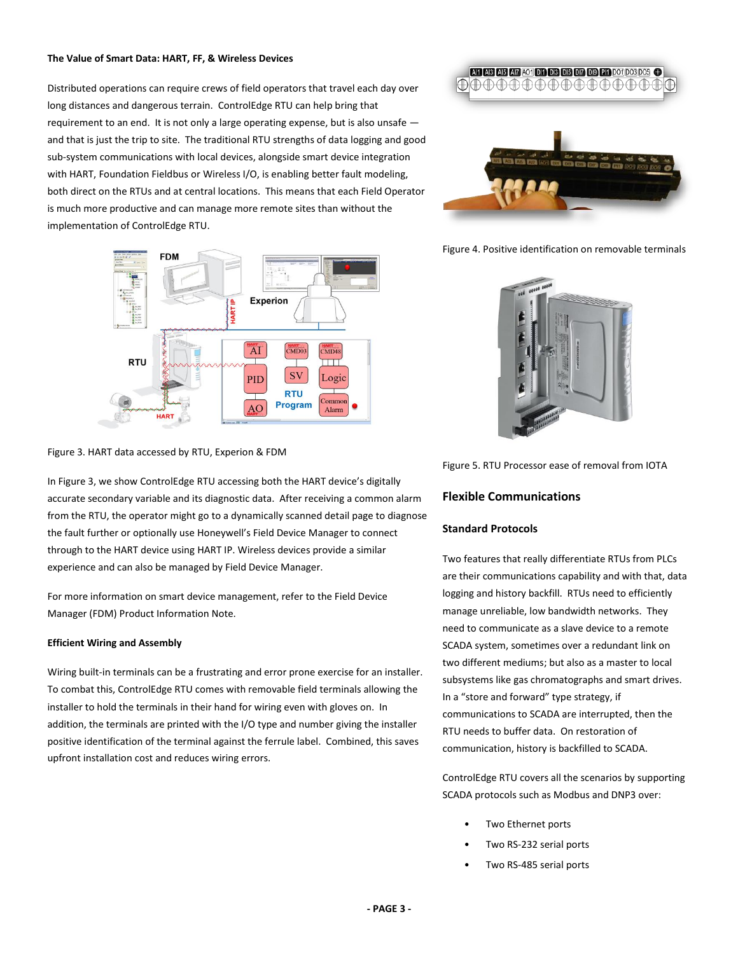#### **The Value of Smart Data: HART, FF, & Wireless Devices**

Distributed operations can require crews of field operators that travel each day over long distances and dangerous terrain. ControlEdge RTU can help bring that requirement to an end. It is not only a large operating expense, but is also unsafe and that is just the trip to site. The traditional RTU strengths of data logging and good sub-system communications with local devices, alongside smart device integration with HART, Foundation Fieldbus or Wireless I/O, is enabling better fault modeling, both direct on the RTUs and at central locations. This means that each Field Operator is much more productive and can manage more remote sites than without the implementation of ControlEdge RTU.



Figure 3. HART data accessed by RTU, Experion & FDM

In Figure 3, we show ControlEdge RTU accessing both the HART device's digitally accurate secondary variable and its diagnostic data. After receiving a common alarm from the RTU, the operator might go to a dynamically scanned detail page to diagnose the fault further or optionally use Honeywell's Field Device Manager to connect through to the HART device using HART IP. Wireless devices provide a similar experience and can also be managed by Field Device Manager.

For more information on smart device management, refer to the Field Device Manager (FDM) Product Information Note.

#### **Efficient Wiring and Assembly**

Wiring built-in terminals can be a frustrating and error prone exercise for an installer. To combat this, ControlEdge RTU comes with removable field terminals allowing the installer to hold the terminals in their hand for wiring even with gloves on. In addition, the terminals are printed with the I/O type and number giving the installer positive identification of the terminal against the ferrule label. Combined, this saves upfront installation cost and reduces wiring errors.



Figure 4. Positive identification on removable terminals



Figure 5. RTU Processor ease of removal from IOTA

# **Flexible Communications**

#### **Standard Protocols**

Two features that really differentiate RTUs from PLCs are their communications capability and with that, data logging and history backfill. RTUs need to efficiently manage unreliable, low bandwidth networks. They need to communicate as a slave device to a remote SCADA system, sometimes over a redundant link on two different mediums; but also as a master to local subsystems like gas chromatographs and smart drives. In a "store and forward" type strategy, if communications to SCADA are interrupted, then the RTU needs to buffer data. On restoration of communication, history is backfilled to SCADA.

ControlEdge RTU covers all the scenarios by supporting SCADA protocols such as Modbus and DNP3 over:

- Two Ethernet ports
- Two RS-232 serial ports
- Two RS-485 serial ports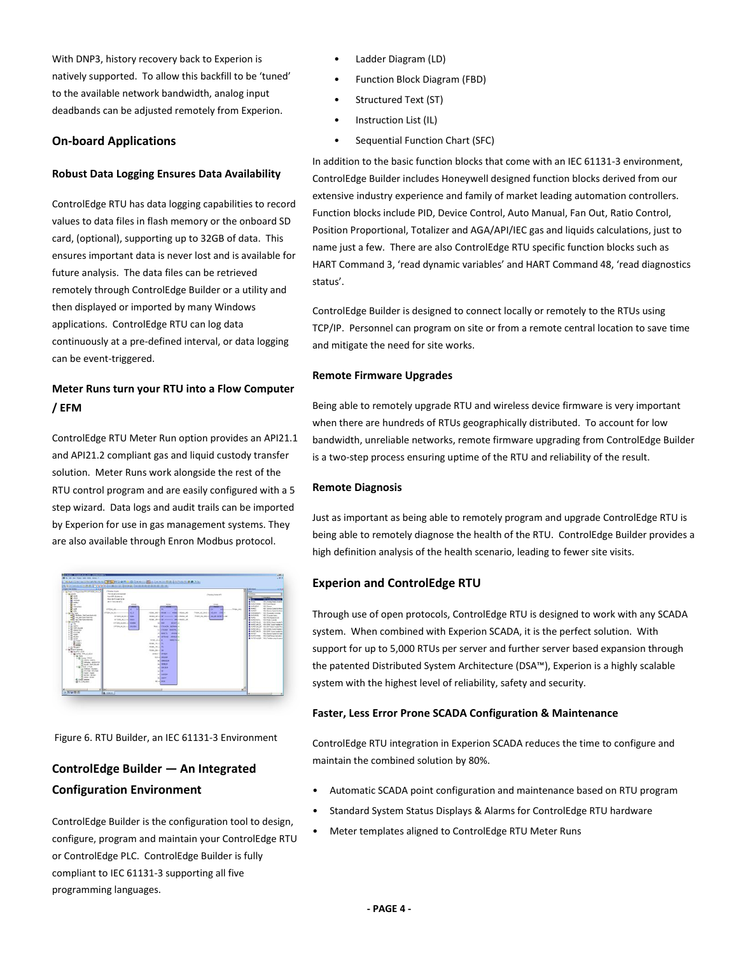With DNP3, history recovery back to Experion is natively supported. To allow this backfill to be 'tuned' to the available network bandwidth, analog input deadbands can be adjusted remotely from Experion.

# **On-board Applications**

# **Robust Data Logging Ensures Data Availability**

ControlEdge RTU has data logging capabilities to record values to data files in flash memory or the onboard SD card, (optional), supporting up to 32GB of data. This ensures important data is never lost and is available for future analysis. The data files can be retrieved remotely through ControlEdge Builder or a utility and then displayed or imported by many Windows applications. ControlEdge RTU can log data continuously at a pre-defined interval, or data logging can be event-triggered.

# **Meter Runs turn your RTU into a Flow Computer / EFM**

ControlEdge RTU Meter Run option provides an API21.1 and API21.2 compliant gas and liquid custody transfer solution. Meter Runs work alongside the rest of the RTU control program and are easily configured with a 5 step wizard. Data logs and audit trails can be imported by Experion for use in gas management systems. They are also available through Enron Modbus protocol.



Figure 6. RTU Builder, an IEC 61131-3 Environment

# **ControlEdge Builder ― An Integrated Configuration Environment**

ControlEdge Builder is the configuration tool to design, configure, program and maintain your ControlEdge RTU or ControlEdge PLC. ControlEdge Builder is fully compliant to IEC 61131-3 supporting all five programming languages.

- Ladder Diagram (LD)
- Function Block Diagram (FBD)
- Structured Text (ST)
- Instruction List (IL)
- Sequential Function Chart (SFC)

In addition to the basic function blocks that come with an IEC 61131-3 environment, ControlEdge Builder includes Honeywell designed function blocks derived from our extensive industry experience and family of market leading automation controllers. Function blocks include PID, Device Control, Auto Manual, Fan Out, Ratio Control, Position Proportional, Totalizer and AGA/API/IEC gas and liquids calculations, just to name just a few. There are also ControlEdge RTU specific function blocks such as HART Command 3, 'read dynamic variables' and HART Command 48, 'read diagnostics status'.

ControlEdge Builder is designed to connect locally or remotely to the RTUs using TCP/IP. Personnel can program on site or from a remote central location to save time and mitigate the need for site works.

## **Remote Firmware Upgrades**

Being able to remotely upgrade RTU and wireless device firmware is very important when there are hundreds of RTUs geographically distributed. To account for low bandwidth, unreliable networks, remote firmware upgrading from ControlEdge Builder is a two-step process ensuring uptime of the RTU and reliability of the result.

## **Remote Diagnosis**

Just as important as being able to remotely program and upgrade ControlEdge RTU is being able to remotely diagnose the health of the RTU. ControlEdge Builder provides a high definition analysis of the health scenario, leading to fewer site visits.

# **Experion and ControlEdge RTU**

Through use of open protocols, ControlEdge RTU is designed to work with any SCADA system. When combined with Experion SCADA, it is the perfect solution. With support for up to 5,000 RTUs per server and further server based expansion through the patented Distributed System Architecture (DSA™), Experion is a highly scalable system with the highest level of reliability, safety and security.

## **Faster, Less Error Prone SCADA Configuration & Maintenance**

ControlEdge RTU integration in Experion SCADA reduces the time to configure and maintain the combined solution by 80%.

- Automatic SCADA point configuration and maintenance based on RTU program
- Standard System Status Displays & Alarms for ControlEdge RTU hardware
- Meter templates aligned to ControlEdge RTU Meter Runs